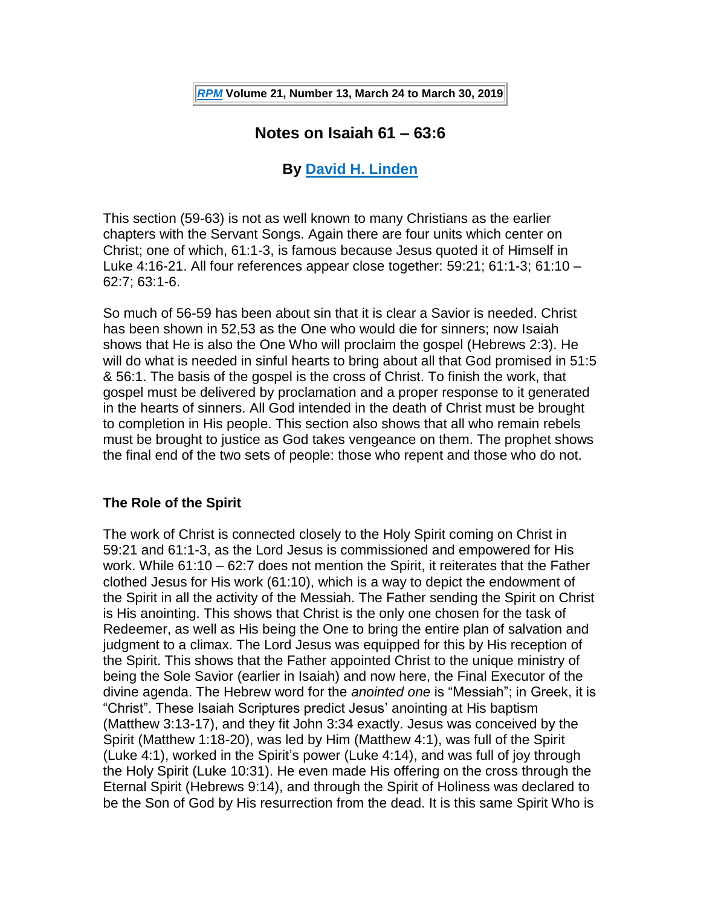# **Notes on Isaiah 61 – 63:6**

#### **By [David H. Linden](http://thirdmill.org/magazine/search.asp/keyword/dav_linden/category/magazine/site/iiim/searchtype/articles/allarticles/1)**

This section (59-63) is not as well known to many Christians as the earlier chapters with the Servant Songs. Again there are four units which center on Christ; one of which, 61:1-3, is famous because Jesus quoted it of Himself in Luke 4:16-21. All four references appear close together: 59:21; 61:1-3; 61:10 – 62:7; 63:1-6.

So much of 56-59 has been about sin that it is clear a Savior is needed. Christ has been shown in 52,53 as the One who would die for sinners; now Isaiah shows that He is also the One Who will proclaim the gospel (Hebrews 2:3). He will do what is needed in sinful hearts to bring about all that God promised in 51:5 & 56:1. The basis of the gospel is the cross of Christ. To finish the work, that gospel must be delivered by proclamation and a proper response to it generated in the hearts of sinners. All God intended in the death of Christ must be brought to completion in His people. This section also shows that all who remain rebels must be brought to justice as God takes vengeance on them. The prophet shows the final end of the two sets of people: those who repent and those who do not.

#### **The Role of the Spirit**

The work of Christ is connected closely to the Holy Spirit coming on Christ in 59:21 and 61:1-3, as the Lord Jesus is commissioned and empowered for His work. While 61:10 – 62:7 does not mention the Spirit, it reiterates that the Father clothed Jesus for His work (61:10), which is a way to depict the endowment of the Spirit in all the activity of the Messiah. The Father sending the Spirit on Christ is His anointing. This shows that Christ is the only one chosen for the task of Redeemer, as well as His being the One to bring the entire plan of salvation and judgment to a climax. The Lord Jesus was equipped for this by His reception of the Spirit. This shows that the Father appointed Christ to the unique ministry of being the Sole Savior (earlier in Isaiah) and now here, the Final Executor of the divine agenda. The Hebrew word for the *anointed one* is "Messiah"; in Greek, it is "Christ". These Isaiah Scriptures predict Jesus' anointing at His baptism (Matthew 3:13-17), and they fit John 3:34 exactly. Jesus was conceived by the Spirit (Matthew 1:18-20), was led by Him (Matthew 4:1), was full of the Spirit (Luke 4:1), worked in the Spirit's power (Luke 4:14), and was full of joy through the Holy Spirit (Luke 10:31). He even made His offering on the cross through the Eternal Spirit (Hebrews 9:14), and through the Spirit of Holiness was declared to be the Son of God by His resurrection from the dead. It is this same Spirit Who is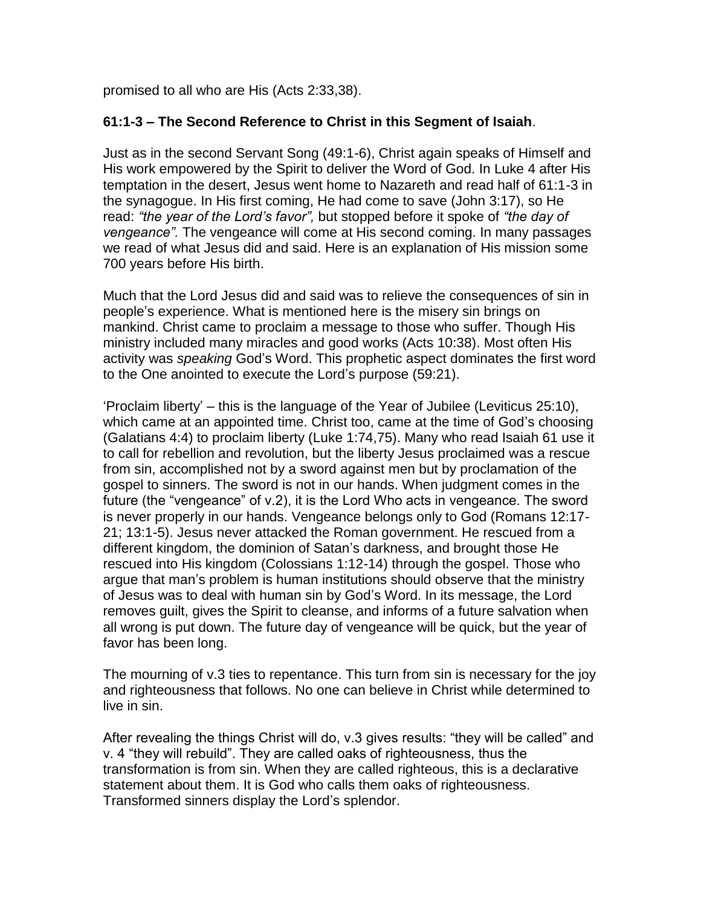promised to all who are His (Acts 2:33,38).

#### **61:1-3 – The Second Reference to Christ in this Segment of Isaiah**.

Just as in the second Servant Song (49:1-6), Christ again speaks of Himself and His work empowered by the Spirit to deliver the Word of God. In Luke 4 after His temptation in the desert, Jesus went home to Nazareth and read half of 61:1-3 in the synagogue. In His first coming, He had come to save (John 3:17), so He read: *"the year of the Lord's favor",* but stopped before it spoke of *"the day of vengeance".* The vengeance will come at His second coming. In many passages we read of what Jesus did and said. Here is an explanation of His mission some 700 years before His birth.

Much that the Lord Jesus did and said was to relieve the consequences of sin in people's experience. What is mentioned here is the misery sin brings on mankind. Christ came to proclaim a message to those who suffer. Though His ministry included many miracles and good works (Acts 10:38). Most often His activity was *speaking* God's Word. This prophetic aspect dominates the first word to the One anointed to execute the Lord's purpose (59:21).

'Proclaim liberty' – this is the language of the Year of Jubilee (Leviticus 25:10), which came at an appointed time. Christ too, came at the time of God's choosing (Galatians 4:4) to proclaim liberty (Luke 1:74,75). Many who read Isaiah 61 use it to call for rebellion and revolution, but the liberty Jesus proclaimed was a rescue from sin, accomplished not by a sword against men but by proclamation of the gospel to sinners. The sword is not in our hands. When judgment comes in the future (the "vengeance" of v.2), it is the Lord Who acts in vengeance. The sword is never properly in our hands. Vengeance belongs only to God (Romans 12:17- 21; 13:1-5). Jesus never attacked the Roman government. He rescued from a different kingdom, the dominion of Satan's darkness, and brought those He rescued into His kingdom (Colossians 1:12-14) through the gospel. Those who argue that man's problem is human institutions should observe that the ministry of Jesus was to deal with human sin by God's Word. In its message, the Lord removes guilt, gives the Spirit to cleanse, and informs of a future salvation when all wrong is put down. The future day of vengeance will be quick, but the year of favor has been long.

The mourning of v.3 ties to repentance. This turn from sin is necessary for the joy and righteousness that follows. No one can believe in Christ while determined to live in sin.

After revealing the things Christ will do, v.3 gives results: "they will be called" and v. 4 "they will rebuild". They are called oaks of righteousness, thus the transformation is from sin. When they are called righteous, this is a declarative statement about them. It is God who calls them oaks of righteousness. Transformed sinners display the Lord's splendor.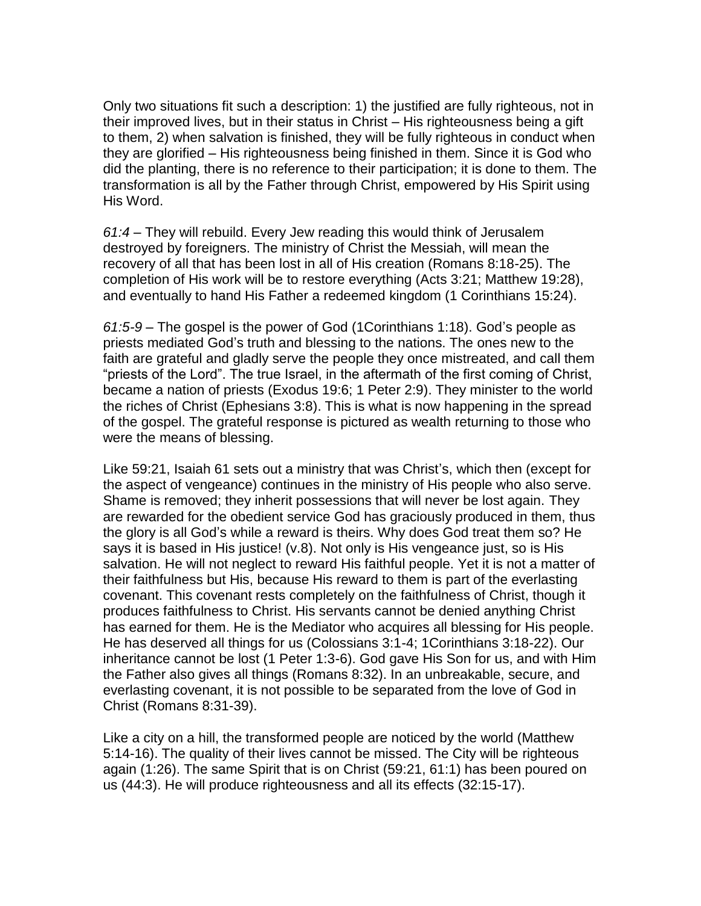Only two situations fit such a description: 1) the justified are fully righteous, not in their improved lives, but in their status in Christ – His righteousness being a gift to them, 2) when salvation is finished, they will be fully righteous in conduct when they are glorified – His righteousness being finished in them. Since it is God who did the planting, there is no reference to their participation; it is done to them. The transformation is all by the Father through Christ, empowered by His Spirit using His Word.

*61:4 –* They will rebuild. Every Jew reading this would think of Jerusalem destroyed by foreigners. The ministry of Christ the Messiah, will mean the recovery of all that has been lost in all of His creation (Romans 8:18-25). The completion of His work will be to restore everything (Acts 3:21; Matthew 19:28), and eventually to hand His Father a redeemed kingdom (1 Corinthians 15:24).

*61:5-9 –* The gospel is the power of God (1Corinthians 1:18). God's people as priests mediated God's truth and blessing to the nations. The ones new to the faith are grateful and gladly serve the people they once mistreated, and call them "priests of the Lord". The true Israel, in the aftermath of the first coming of Christ, became a nation of priests (Exodus 19:6; 1 Peter 2:9). They minister to the world the riches of Christ (Ephesians 3:8). This is what is now happening in the spread of the gospel. The grateful response is pictured as wealth returning to those who were the means of blessing.

Like 59:21, Isaiah 61 sets out a ministry that was Christ's, which then (except for the aspect of vengeance) continues in the ministry of His people who also serve. Shame is removed; they inherit possessions that will never be lost again. They are rewarded for the obedient service God has graciously produced in them, thus the glory is all God's while a reward is theirs. Why does God treat them so? He says it is based in His justice! (v.8). Not only is His vengeance just, so is His salvation. He will not neglect to reward His faithful people. Yet it is not a matter of their faithfulness but His, because His reward to them is part of the everlasting covenant. This covenant rests completely on the faithfulness of Christ, though it produces faithfulness to Christ. His servants cannot be denied anything Christ has earned for them. He is the Mediator who acquires all blessing for His people. He has deserved all things for us (Colossians 3:1-4; 1Corinthians 3:18-22). Our inheritance cannot be lost (1 Peter 1:3-6). God gave His Son for us, and with Him the Father also gives all things (Romans 8:32). In an unbreakable, secure, and everlasting covenant, it is not possible to be separated from the love of God in Christ (Romans 8:31-39).

Like a city on a hill, the transformed people are noticed by the world (Matthew 5:14-16). The quality of their lives cannot be missed. The City will be righteous again (1:26). The same Spirit that is on Christ (59:21, 61:1) has been poured on us (44:3). He will produce righteousness and all its effects (32:15-17).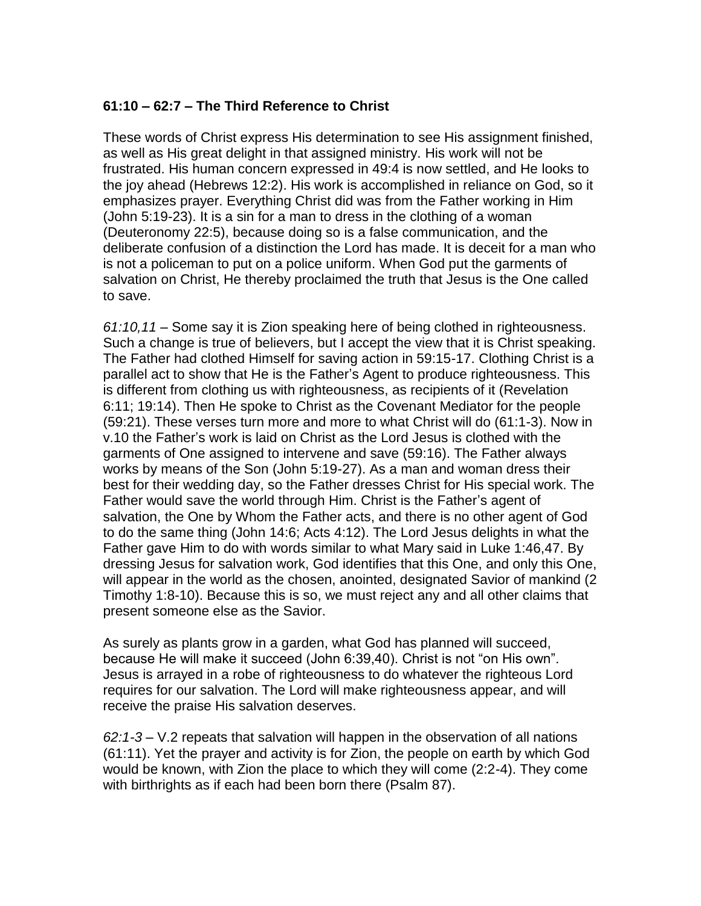#### **61:10 – 62:7 – The Third Reference to Christ**

These words of Christ express His determination to see His assignment finished, as well as His great delight in that assigned ministry. His work will not be frustrated. His human concern expressed in 49:4 is now settled, and He looks to the joy ahead (Hebrews 12:2). His work is accomplished in reliance on God, so it emphasizes prayer. Everything Christ did was from the Father working in Him (John 5:19-23). It is a sin for a man to dress in the clothing of a woman (Deuteronomy 22:5), because doing so is a false communication, and the deliberate confusion of a distinction the Lord has made. It is deceit for a man who is not a policeman to put on a police uniform. When God put the garments of salvation on Christ, He thereby proclaimed the truth that Jesus is the One called to save.

*61:10,11 –* Some say it is Zion speaking here of being clothed in righteousness. Such a change is true of believers, but I accept the view that it is Christ speaking. The Father had clothed Himself for saving action in 59:15-17. Clothing Christ is a parallel act to show that He is the Father's Agent to produce righteousness. This is different from clothing us with righteousness, as recipients of it (Revelation 6:11; 19:14). Then He spoke to Christ as the Covenant Mediator for the people (59:21). These verses turn more and more to what Christ will do (61:1-3). Now in v.10 the Father's work is laid on Christ as the Lord Jesus is clothed with the garments of One assigned to intervene and save (59:16). The Father always works by means of the Son (John 5:19-27). As a man and woman dress their best for their wedding day, so the Father dresses Christ for His special work. The Father would save the world through Him. Christ is the Father's agent of salvation, the One by Whom the Father acts, and there is no other agent of God to do the same thing (John 14:6; Acts 4:12). The Lord Jesus delights in what the Father gave Him to do with words similar to what Mary said in Luke 1:46,47. By dressing Jesus for salvation work, God identifies that this One, and only this One, will appear in the world as the chosen, anointed, designated Savior of mankind (2 Timothy 1:8-10). Because this is so, we must reject any and all other claims that present someone else as the Savior.

As surely as plants grow in a garden, what God has planned will succeed, because He will make it succeed (John 6:39,40). Christ is not "on His own". Jesus is arrayed in a robe of righteousness to do whatever the righteous Lord requires for our salvation. The Lord will make righteousness appear, and will receive the praise His salvation deserves.

*62:1-3 –* V.2 repeats that salvation will happen in the observation of all nations (61:11). Yet the prayer and activity is for Zion, the people on earth by which God would be known, with Zion the place to which they will come (2:2-4). They come with birthrights as if each had been born there (Psalm 87).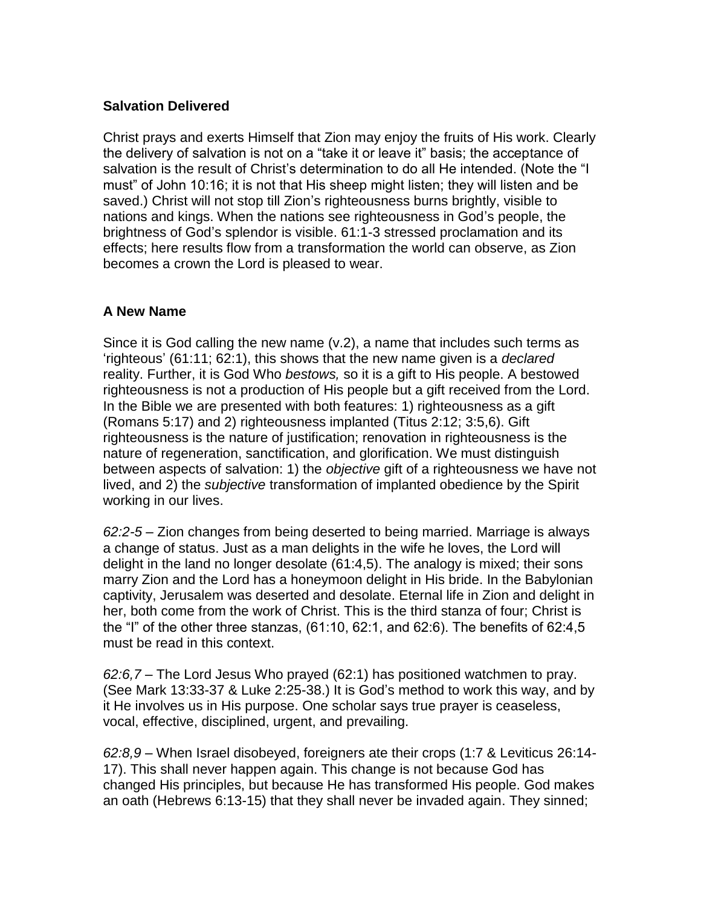#### **Salvation Delivered**

Christ prays and exerts Himself that Zion may enjoy the fruits of His work. Clearly the delivery of salvation is not on a "take it or leave it" basis; the acceptance of salvation is the result of Christ's determination to do all He intended. (Note the "I must" of John 10:16; it is not that His sheep might listen; they will listen and be saved.) Christ will not stop till Zion's righteousness burns brightly, visible to nations and kings. When the nations see righteousness in God's people, the brightness of God's splendor is visible. 61:1-3 stressed proclamation and its effects; here results flow from a transformation the world can observe, as Zion becomes a crown the Lord is pleased to wear.

#### **A New Name**

Since it is God calling the new name (v.2), a name that includes such terms as 'righteous' (61:11; 62:1), this shows that the new name given is a *declared* reality. Further, it is God Who *bestows,* so it is a gift to His people. A bestowed righteousness is not a production of His people but a gift received from the Lord. In the Bible we are presented with both features: 1) righteousness as a gift (Romans 5:17) and 2) righteousness implanted (Titus 2:12; 3:5,6). Gift righteousness is the nature of justification; renovation in righteousness is the nature of regeneration, sanctification, and glorification. We must distinguish between aspects of salvation: 1) the *objective* gift of a righteousness we have not lived, and 2) the *subjective* transformation of implanted obedience by the Spirit working in our lives.

*62:2-5 –* Zion changes from being deserted to being married. Marriage is always a change of status. Just as a man delights in the wife he loves, the Lord will delight in the land no longer desolate (61:4,5). The analogy is mixed; their sons marry Zion and the Lord has a honeymoon delight in His bride. In the Babylonian captivity, Jerusalem was deserted and desolate. Eternal life in Zion and delight in her, both come from the work of Christ. This is the third stanza of four; Christ is the "I" of the other three stanzas, (61:10, 62:1, and 62:6). The benefits of 62:4,5 must be read in this context.

*62:6,7 –* The Lord Jesus Who prayed (62:1) has positioned watchmen to pray. (See Mark 13:33-37 & Luke 2:25-38.) It is God's method to work this way, and by it He involves us in His purpose. One scholar says true prayer is ceaseless, vocal, effective, disciplined, urgent, and prevailing.

*62:8,9 –* When Israel disobeyed, foreigners ate their crops (1:7 & Leviticus 26:14- 17). This shall never happen again. This change is not because God has changed His principles, but because He has transformed His people. God makes an oath (Hebrews 6:13-15) that they shall never be invaded again. They sinned;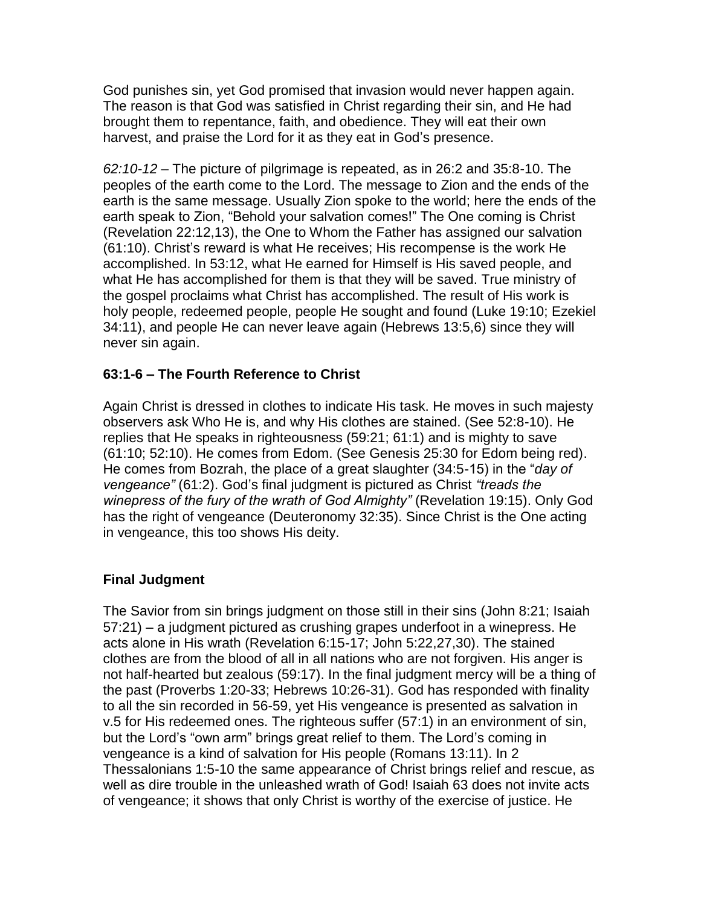God punishes sin, yet God promised that invasion would never happen again. The reason is that God was satisfied in Christ regarding their sin, and He had brought them to repentance, faith, and obedience. They will eat their own harvest, and praise the Lord for it as they eat in God's presence.

*62:10-12 –* The picture of pilgrimage is repeated, as in 26:2 and 35:8-10. The peoples of the earth come to the Lord. The message to Zion and the ends of the earth is the same message. Usually Zion spoke to the world; here the ends of the earth speak to Zion, "Behold your salvation comes!" The One coming is Christ (Revelation 22:12,13), the One to Whom the Father has assigned our salvation (61:10). Christ's reward is what He receives; His recompense is the work He accomplished. In 53:12, what He earned for Himself is His saved people, and what He has accomplished for them is that they will be saved. True ministry of the gospel proclaims what Christ has accomplished. The result of His work is holy people, redeemed people, people He sought and found (Luke 19:10; Ezekiel 34:11), and people He can never leave again (Hebrews 13:5,6) since they will never sin again.

## **63:1-6 – The Fourth Reference to Christ**

Again Christ is dressed in clothes to indicate His task. He moves in such majesty observers ask Who He is, and why His clothes are stained. (See 52:8-10). He replies that He speaks in righteousness (59:21; 61:1) and is mighty to save (61:10; 52:10). He comes from Edom. (See Genesis 25:30 for Edom being red). He comes from Bozrah, the place of a great slaughter (34:5-15) in the "*day of vengeance"* (61:2). God's final judgment is pictured as Christ *"treads the winepress of the fury of the wrath of God Almighty"* (Revelation 19:15). Only God has the right of vengeance (Deuteronomy 32:35). Since Christ is the One acting in vengeance, this too shows His deity.

## **Final Judgment**

The Savior from sin brings judgment on those still in their sins (John 8:21; Isaiah 57:21) – a judgment pictured as crushing grapes underfoot in a winepress. He acts alone in His wrath (Revelation 6:15-17; John 5:22,27,30). The stained clothes are from the blood of all in all nations who are not forgiven. His anger is not half-hearted but zealous (59:17). In the final judgment mercy will be a thing of the past (Proverbs 1:20-33; Hebrews 10:26-31). God has responded with finality to all the sin recorded in 56-59, yet His vengeance is presented as salvation in v.5 for His redeemed ones. The righteous suffer (57:1) in an environment of sin, but the Lord's "own arm" brings great relief to them. The Lord's coming in vengeance is a kind of salvation for His people (Romans 13:11). In 2 Thessalonians 1:5-10 the same appearance of Christ brings relief and rescue, as well as dire trouble in the unleashed wrath of God! Isaiah 63 does not invite acts of vengeance; it shows that only Christ is worthy of the exercise of justice. He